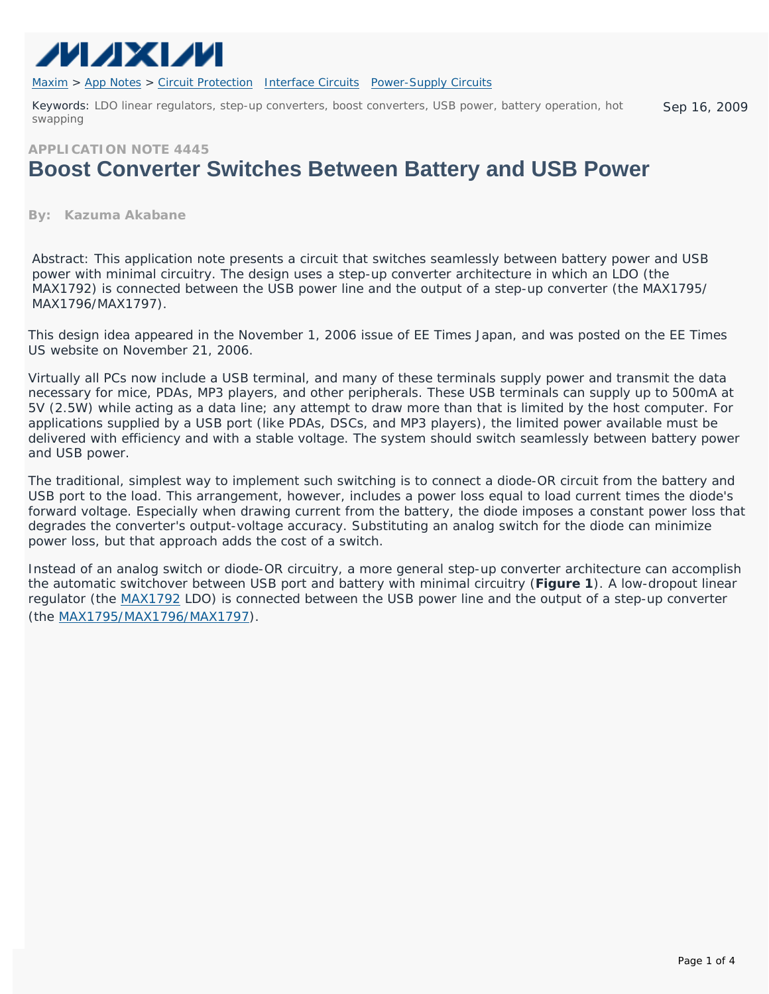

[Maxim](http://www.maxim-ic.com/) > [App Notes](http://www.maxim-ic.com/appnotes10.cfm) > [Circuit Protection](http://www.maxim-ic.com/appnotes10.cfm/ac_pk/7/ln/en) [Interface Circuits](http://www.maxim-ic.com/appnotes10.cfm/ac_pk/14/ln/en) [Power-Supply Circuits](http://www.maxim-ic.com/appnotes10.cfm/ac_pk/20/ln/en) 

Keywords: LDO linear regulators, step-up converters, boost converters, USB power, battery operation, hot swapping Sep 16, 2009

### **APPLICATION NOTE 4445**

# **Boost Converter Switches Between Battery and USB Power**

#### **By: Kazuma Akabane**

*Abstract: This application note presents a circuit that switches seamlessly between battery power and USB power with minimal circuitry. The design uses a step-up converter architecture in which an LDO (the MAX1792) is connected between the USB power line and the output of a step-up converter (the MAX1795/ MAX1796/MAX1797).* 

This design idea appeared in the November 1, 2006 issue of *EE Times* Japan, and was posted on the *EE Times* US website on November 21, 2006.

Virtually all PCs now include a USB terminal, and many of these terminals supply power and transmit the data necessary for mice, PDAs, MP3 players, and other peripherals. These USB terminals can supply up to 500mA at 5V (2.5W) while acting as a data line; any attempt to draw more than that is limited by the host computer. For applications supplied by a USB port (like PDAs, DSCs, and MP3 players), the limited power available must be delivered with efficiency and with a stable voltage. The system should switch seamlessly between battery power and USB power.

The traditional, simplest way to implement such switching is to connect a diode-OR circuit from the battery and USB port to the load. This arrangement, however, includes a power loss equal to load current times the diode's forward voltage. Especially when drawing current from the battery, the diode imposes a constant power loss that degrades the converter's output-voltage accuracy. Substituting an analog switch for the diode can minimize power loss, but that approach adds the cost of a switch.

Instead of an analog switch or diode-OR circuitry, a more general step-up converter architecture can accomplish the automatic switchover between USB port and battery with minimal circuitry (**Figure 1**). A low-dropout linear regulator (the [MAX1792](http://www.maxim-ic.com/MAX1792) LDO) is connected between the USB power line and the output of a step-up converter (the [MAX1795/MAX1796/MAX1797\)](http://www.maxim-ic.com/MAX1795).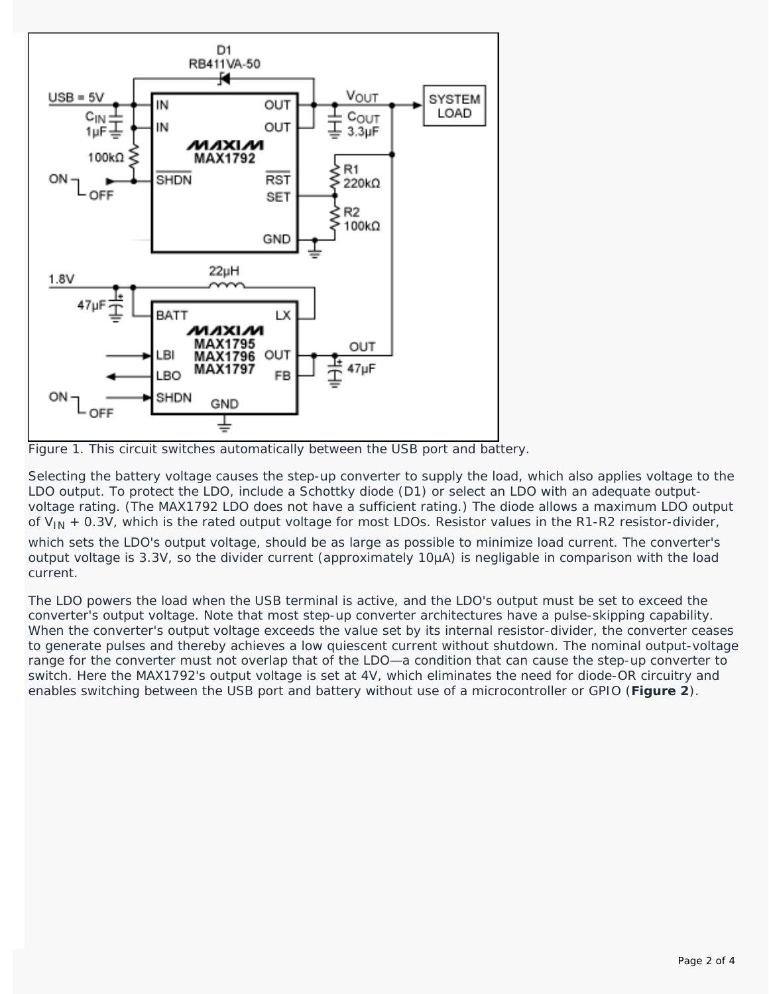

*Figure 1. This circuit switches automatically between the USB port and battery.*

Selecting the battery voltage causes the step-up converter to supply the load, which also applies voltage to the LDO output. To protect the LDO, include a Schottky diode (D1) or select an LDO with an adequate outputvoltage rating. (The MAX1792 LDO does not have a sufficient rating.) The diode allows a maximum LDO output of  $V_{IN}$  + 0.3V, which is the rated output voltage for most LDOs. Resistor values in the R1-R2 resistor-divider,

which sets the LDO's output voltage, should be as large as possible to minimize load current. The converter's output voltage is 3.3V, so the divider current (approximately 10µA) is negligable in comparison with the load current.

The LDO powers the load when the USB terminal is active, and the LDO's output must be set to exceed the converter's output voltage. Note that most step-up converter architectures have a pulse-skipping capability. When the converter's output voltage exceeds the value set by its internal resistor-divider, the converter ceases to generate pulses and thereby achieves a low quiescent current without shutdown. The nominal output-voltage range for the converter must not overlap that of the LDO—a condition that can cause the step-up converter to switch. Here the MAX1792's output voltage is set at 4V, which eliminates the need for diode-OR circuitry and enables switching between the USB port and battery without use of a microcontroller or GPIO (**Figure 2**).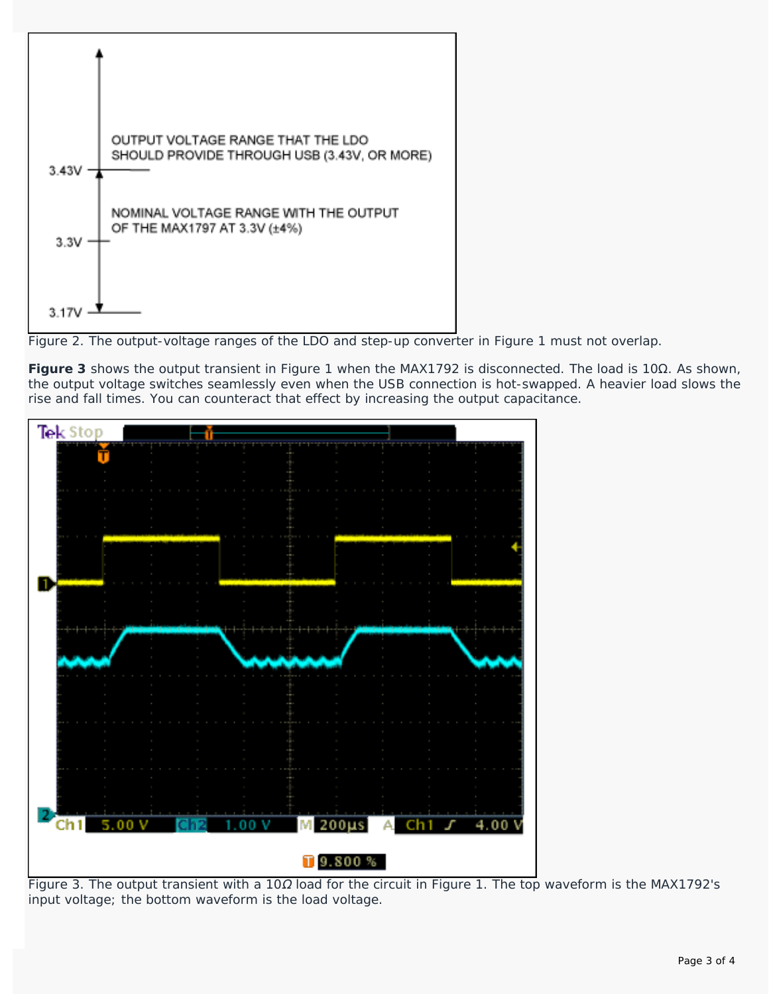

*Figure 2. The output-voltage ranges of the LDO and step-up converter in Figure 1 must not overlap.*

**Figure 3** shows the output transient in Figure 1 when the MAX1792 is disconnected. The load is 10Ω. As shown, the output voltage switches seamlessly even when the USB connection is hot-swapped. A heavier load slows the rise and fall times. You can counteract that effect by increasing the output capacitance.



*Figure 3. The output transient with a 10*Ω *load for the circuit in Figure 1. The top waveform is the MAX1792's input voltage; the bottom waveform is the load voltage.*